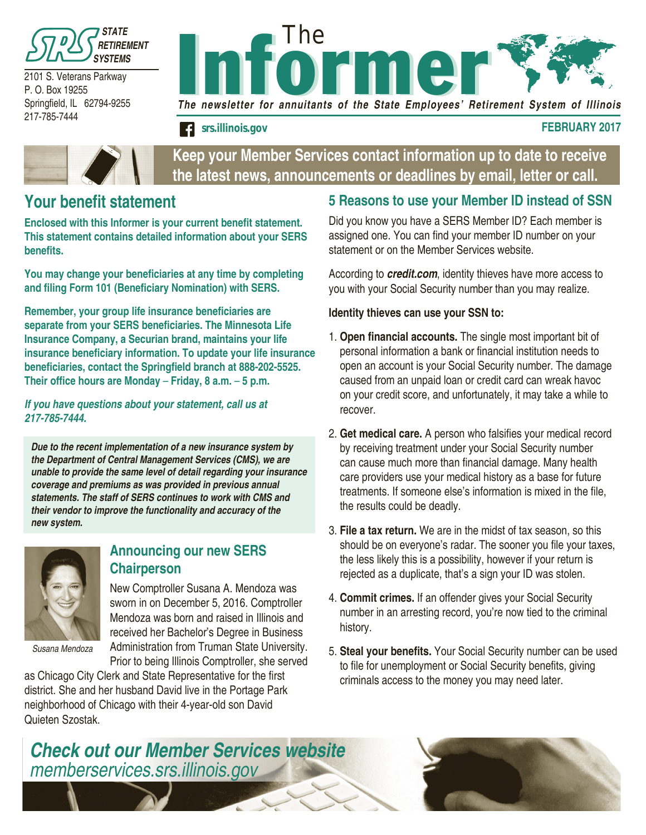

2101 S. Veterans Parkway P. O. Box 19255 Springfield, IL 62794-9255 217-785-7444



*srs.illinois.gov* **FEBRUARY 2017**



**Keep your Member Services contact information up to date to receive the latest news, announcements or deadlines by email, letter or call.**

### **Your benefit statement**

**Enclosed with this Informer is your current benefit statement. This statement contains detailed information about your SERS benefits.** 

**You may change your beneficiaries at any time by completing and filing Form 101 (Beneficiary Nomination) with SERS.**

**Remember, your group life insurance beneficiaries are separate from your SERS beneficiaries. The Minnesota Life Insurance Company, a Securian brand, maintains your life insurance beneficiary information. To update your life insurance beneficiaries, contact the Springfield branch at 888-202-5525. Their office hours are Monday** – **Friday, 8 a.m.** – **5 p.m.**

*If you have questions about your statement, call us at 217-785-7444.*

*Due to the recent implementation of a new insurance system by the Department of Central Management Services (CMS), we are unable to provide the same level of detail regarding your insurance coverage and premiums as was provided in previous annual statements. The staff of SERS continues to work with CMS and their vendor to improve the functionality and accuracy of the new system.*



#### **Announcing our new SERS Chairperson**

New Comptroller Susana A. Mendoza was sworn in on December 5, 2016. Comptroller Mendoza was born and raised in Illinois and received her Bachelor's Degree in Business Administration from Truman State University.

*Susana Mendoza*

Prior to being Illinois Comptroller, she served as Chicago City Clerk and State Representative for the first district. She and her husband David live in the Portage Park neighborhood of Chicago with their 4-year-old son David Quieten Szostak.

#### **5 Reasons to use your Member ID instead of SSN**

Did you know you have a SERS Member ID? Each member is assigned one. You can find your member ID number on your statement or on the Member Services website.

According to *credit.com*, identity thieves have more access to you with your Social Security number than you may realize.

#### **Identity thieves can use your SSN to:**

- 1. **Open financial accounts.** The single most important bit of personal information a bank or financial institution needs to open an account is your Social Security number. The damage caused from an unpaid loan or credit card can wreak havoc on your credit score, and unfortunately, it may take a while to recover.
- 2. **Get medical care.** A person who falsifies your medical record by receiving treatment under your Social Security number can cause much more than financial damage. Many health care providers use your medical history as a base for future treatments. If someone else's information is mixed in the file, the results could be deadly.
- 3. **File a tax return.** We are in the midst of tax season, so this should be on everyone's radar. The sooner you file your taxes, the less likely this is a possibility, however if your return is rejected as a duplicate, that's a sign your ID was stolen.
- 4. **Commit crimes.** If an offender gives your Social Security number in an arresting record, you're now tied to the criminal history.
- 5. **Steal your benefits.** Your Social Security number can be used to file for unemployment or Social Security benefits, giving criminals access to the money you may need later.

*Check out our Member Services website memberservices.srs.illinois.gov*

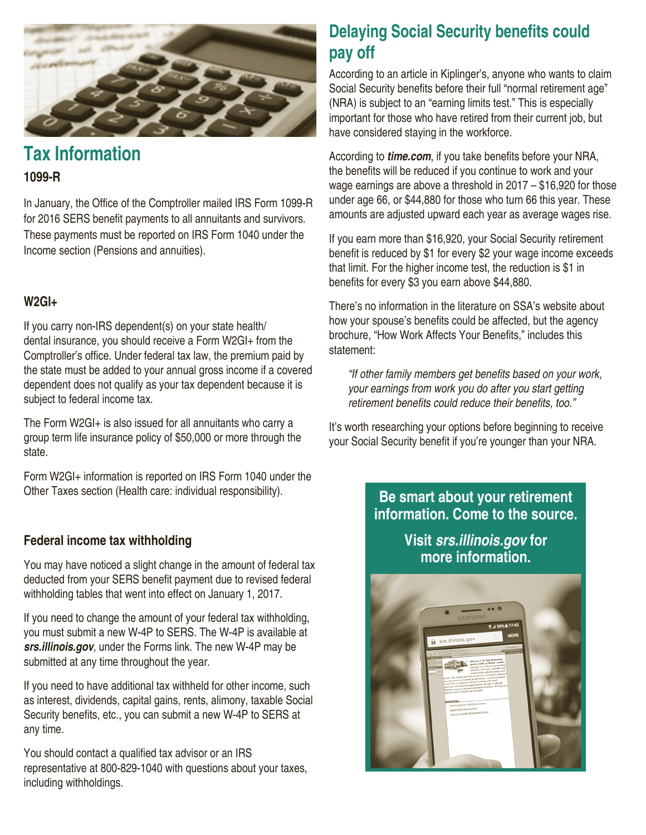

# **Tax Information**

#### **1099-R**

In January, the Office of the Comptroller mailed IRS Form 1099-R for 2016 SERS benefit payments to all annuitants and survivors. These payments must be reported on IRS Form 1040 under the Income section (Pensions and annuities).

#### **W2GI+**

If you carry non-IRS dependent(s) on your state health/ dental insurance, you should receive a Form W2GI+ from the Comptroller's office. Under federal tax law, the premium paid by the state must be added to your annual gross income if a covered dependent does not qualify as your tax dependent because it is subject to federal income tax.

The Form W2GI+ is also issued for all annuitants who carry a group term life insurance policy of \$50,000 or more through the state.

Form W2GI+ information is reported on IRS Form 1040 under the Other Taxes section (Health care: individual responsibility).

#### **Federal income tax withholding**

You may have noticed a slight change in the amount of federal tax deducted from your SERS benefit payment due to revised federal withholding tables that went into effect on January 1, 2017.

If you need to change the amount of your federal tax withholding, you must submit a new W-4P to SERS. The W-4P is available at *srs.illinois.gov*, under the Forms link. The new W-4P may be submitted at any time throughout the year.

If you need to have additional tax withheld for other income, such as interest, dividends, capital gains, rents, alimony, taxable Social Security benefits, etc., you can submit a new W-4P to SERS at any time.

You should contact a qualified tax advisor or an IRS representative at 800-829-1040 with questions about your taxes, including withholdings.

# **Delaying Social Security benefits could pay off**

According to an article in Kiplinger's, anyone who wants to claim Social Security benefits before their full "normal retirement age" (NRA) is subject to an "earning limits test." This is especially important for those who have retired from their current job, but have considered staying in the workforce.

According to *time.com*, if you take benefits before your NRA, the benefits will be reduced if you continue to work and your wage earnings are above a threshold in 2017 – \$16,920 for those under age 66, or \$44,880 for those who turn 66 this year. These amounts are adjusted upward each year as average wages rise.

If you earn more than \$16,920, your Social Security retirement benefit is reduced by \$1 for every \$2 your wage income exceeds that limit. For the higher income test, the reduction is \$1 in benefits for every \$3 you earn above \$44,880.

There's no information in the literature on SSA's website about how your spouse's benefits could be affected, but the agency brochure, "How Work Affects Your Benefits," includes this statement:

"If other family members get benefits based on your work, *your earnings from work you do after you start getting*  retirement benefits could reduce their benefits, too."

It's worth researching your options before beginning to receive your Social Security benefit if you're younger than your NRA.

### **Be smart about your retirement information. Come to the source.**

**Visit** *srs.illinois.gov* **for more information.**

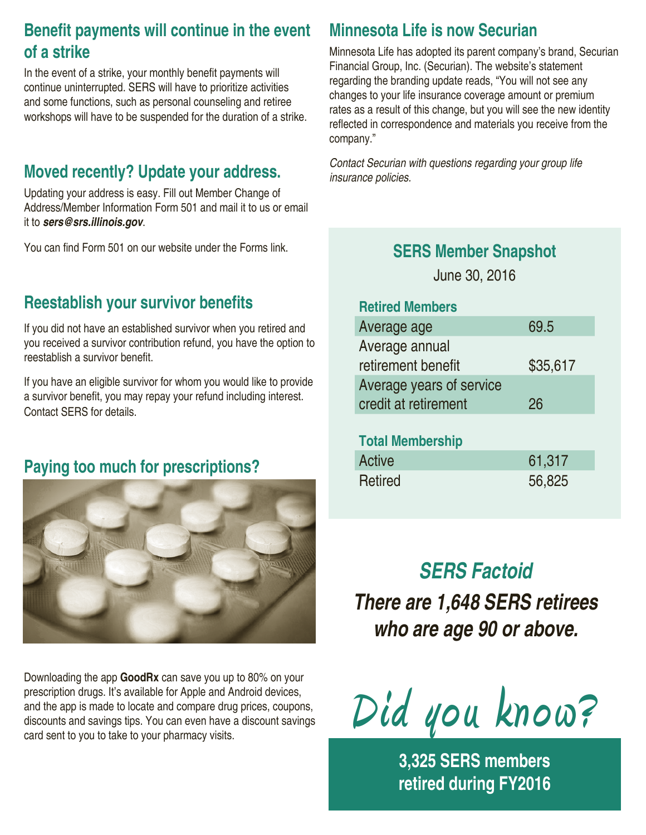# **Benefit payments will continue in the event of a strike**

In the event of a strike, your monthly benefit payments will continue uninterrupted. SERS will have to prioritize activities and some functions, such as personal counseling and retiree workshops will have to be suspended for the duration of a strike.

### **Moved recently? Update your address.**

Updating your address is easy. Fill out Member Change of Address/Member Information Form 501 and mail it to us or email it to *sers@srs.illinois.gov*.

You can find Form 501 on our website under the Forms link.

### **Reestablish your survivor benefits**

If you did not have an established survivor when you retired and you received a survivor contribution refund, you have the option to reestablish a survivor benefit.

If you have an eligible survivor for whom you would like to provide a survivor benefit, you may repay your refund including interest. Contact SERS for details.

# **Paying too much for prescriptions?**



Downloading the app **GoodRx** can save you up to 80% on your prescription drugs. It's available for Apple and Android devices, and the app is made to locate and compare drug prices, coupons, discounts and savings tips. You can even have a discount savings card sent to you to take to your pharmacy visits.

### **Minnesota Life is now Securian**

Minnesota Life has adopted its parent company's brand, Securian Financial Group, Inc. (Securian). The website's statement regarding the branding update reads, "You will not see any changes to your life insurance coverage amount or premium rates as a result of this change, but you will see the new identity reflected in correspondence and materials you receive from the company."

*Contact Securian with questions regarding your group life insurance policies.*

### **SERS Member Snapshot**

June 30, 2016

#### **Retired Members**

| Average age              | 69.5     |
|--------------------------|----------|
| Average annual           |          |
| retirement benefit       | \$35,617 |
| Average years of service |          |
| credit at retirement     | 26       |

#### **Total Membership**

| Active  | 61,317 |
|---------|--------|
| Retired | 56,825 |

# *SERS Factoid*

*There are 1,648 SERS retirees who are age 90 or above.*

**Did you know?**

**3,325 SERS members retired during FY2016**